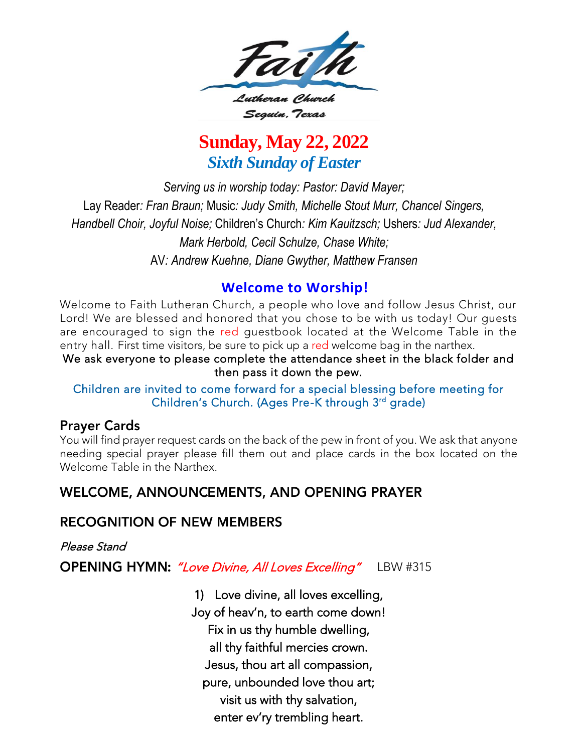

## **Sunday, May 22, 2022** *Sixth Sunday of Easter*

*Serving us in worship today: Pastor: David Mayer;* Lay Reader*: Fran Braun;* Music*: Judy Smith, Michelle Stout Murr, Chancel Singers, Handbell Choir, Joyful Noise;* Children's Church*: Kim Kauitzsch;* Ushers*: Jud Alexander, Mark Herbold, Cecil Schulze, Chase White;*  AV*: Andrew Kuehne, Diane Gwyther, Matthew Fransen*

**Welcome to Worship!**<br>Welcome to Faith Lutheran Church, a people who love and follow Jesus Christ, our Lord! We are blessed and honored that you chose to be with us today! Our quests are encouraged to sign the red questbook located at the Welcome Table in the entry hall. First time visitors, be sure to pick up a red welcome bag in the narthex.

We ask everyone to please complete the attendance sheet in the black folder and then pass it down the pew.

Children are invited to come forward for a special blessing before meeting for Children's Church (Ages Pre-K through 3rd grade) Children's Church. (Ages Pre-K through 3<sup>rd</sup> grade)

#### **Prayer Cards**

You will find prayer request cards on the back of the pew in front of you. We ask that anyone<br>needing special prayer please fill them out and place cards in the box located on the Welcome Table in the Narthex. Welcome Table in the Narthex.

### **WELCOME, ANNOUNCEMENTS, AND OPENING PRAYER**

#### **RECOGNITION OF NEW MEMBERS**

Please Stand

**OPENING HYMN:** "Love Divine, All Loves Excelling" LBW #315

1) Love divine, all loves excelling, Fix in us thy humble dwelling, all thy faithful mercies crown. Jesus, thou art all compassion, pure, unbounded love thou art; visit us with thy salvation, visit us with thy salvation, enter ev'ry trembling heart.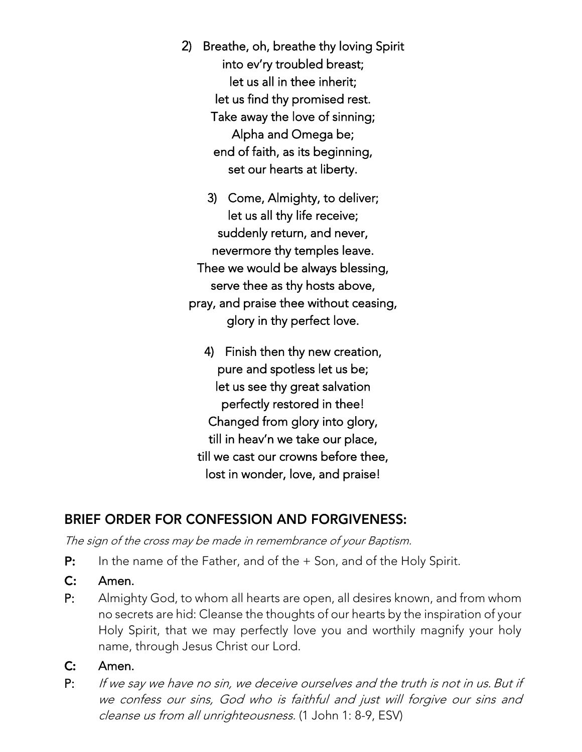- 2) Breathe, oh, breathe thy loving Spirit let us all in thee inherit; let us find thy promised rest. Take away the love of sinning; Alpha and Omega be; end of faith, as its beginning, set our hearts at liberty. set our hearts at liberty.
	- 3) Come, Almighty, to deliver; suddenly return, and never, nevermore thy temples leave. Thee we would be always blessing, serve thee as thy hosts above, pray, and praise thee without ceasing, pray, and praise thee without ceasing,  $g_i$ , in thy perfect left.
		- 4) Finish then thy new creation, pure and spotless let us be; let us see thy great salvation perfectly restored in thee! Changed from glory into glory, till in heav'n we take our place, till we cast our crowns before thee, till we cast our crowns before thee, lost in wonder, love, and praise!

## BRIEF ORDER FOR CONFESSION AND FORGIVENESS:

The sign of the cross may be made in remembrance of your Baptism.

- P: In the name of the Father, and of the + Son, and of the Holy Spirit.
- $C:$
- $P:$ Almighty God, to whom all hearts are open, all desires known, and from whom no secrets are hid: Cleanse the thoughts of our hearts by the inspiration of your Holy Spirit, that we may perfectly love you and worthily magnify your holy Holy Spirit, that we may perfectly love you and wordham the wordham wordham wordham wordham wordham wordham wo name, through Jesus Christ our Lord.
- $C:$
- 16. . . . . . . P: If we say we have no sin, we deceive ourselves and the truth is not in us. But if<br>We confere our sins, God who is faithful and just will forgive our sins and we confess our sins, God who is faithful and just will forgive our sins and cleanse us from all unrighteousness. (1 John 1: 8-9, ESV)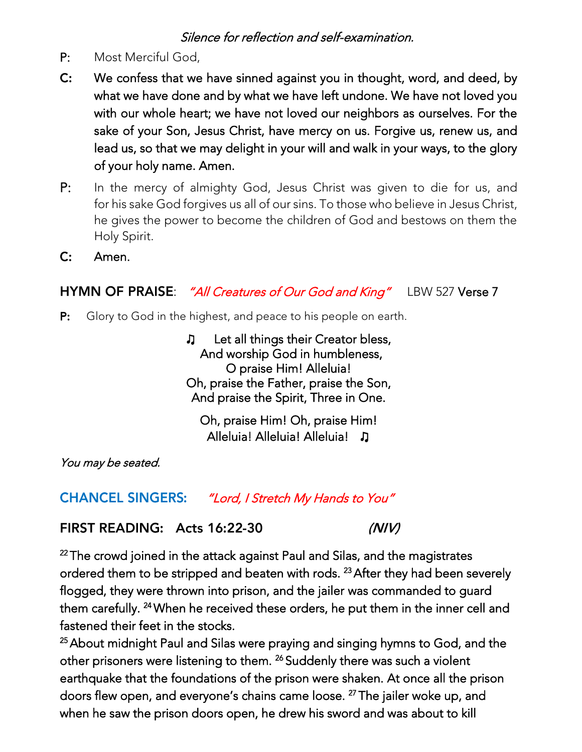#### Silence for reflection and self-examination.

- Most Merciful God.
- P: Most Merciful God,<br>**C:** We confess that we have sinned against you in thought, word, and deed, by what we have done and by what we have left undone. We have not loved you with our whole heart; we have not loved our neighbors as ourselves. For the sake of your Son, Jesus Christ, have mercy on us. Forgive us, renew us, and lead us, so that we may delight in your will and walk in your ways, to the glory lead us, so that we may delight in your will and walk in your ways, to the glory of your holy name. Amen.
- P: In the mercy of almighty God, Jesus Christ was given to die for us, and for his sake God forgives us all of our sins. To those who believe in Jesus Christ, he gives the power to become the children of God and bestows on them the he gives the power to become the children of God and bestows on them the Holy Spirit.<br>**Amen.**
- $C:$ Amen.

### HYMN OF PRAISE: "All Creatures of Our God and King" LBW 527 Verse 7

 $P:$ Glory to God in the highest, and peace to his people on earth.

> ♫ Let all things their Creator bless, O praise Him! Alleluia! Oh, praise the Father, praise the Son, Oh, praise the Solit Three in Ohe And praise the Spirit, Three in One.

Oh, praise Him! Oh, praise Him! Alleluia! Alleluia! Alleluia! ♫

You may be seated.

"Lord, I Stretch My Hands to You" **CHANCEL SINGERS:** 

FIRST READING: Acts 16:22-30  $(N/V)$ 

<sup>22</sup>The crowd joined in the attack against Paul and Silas, and the magistrates<br>exclused them to be ettime ad and besten with male. <sup>23</sup> After them had been as flogged, they were thrown into prison, and the jailer was commanded to guard <sup>23</sup> After they had been severely<br>weekstoom and all to musual flogged, they were thrown into prison, and they jailer was communities to guard.<br>these comefully 24 Mb on his received the secondary he mut there in the impactually fastened their feet in the stocks. 24 when he received these orders, he put them in the inner cell and  $\sim$ 

<sup>25</sup> About midnight Paul and Silas were praying and singing hymns to God, and the other prisoners were listening to them. <sup>26</sup> Suddenly there was such a violent other prisoners were listening to them. <sup>26</sup> Suddenly there was such a violent<br>conference that the four dations of the naisen was shelton. At ence all the a earthquake that the foundations of the prison were shaken. At once an are prison  $\epsilon$ when he saw the prison doors open, he drew his sword and was about to kill <sup>2</sup> The jailer woke up, and<br>"I can know about to kill when he saw the prison doors open, he drew his sword and was about to kill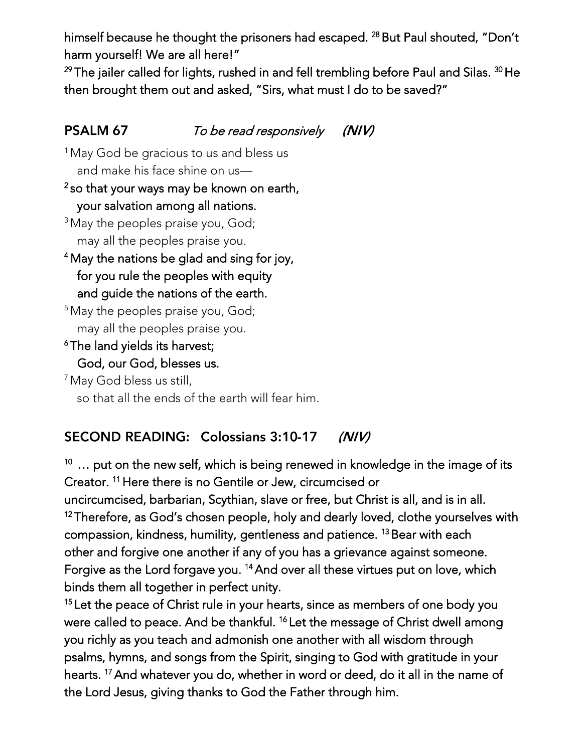harm yourself! We are all here!" himself because he thought the prisoners had escaped. <sup>28</sup> But Paul shouted, "Don't

harm yourself here are an here.<br>29 The teller eall ed fan lichte misk <sup>29</sup>The jailer called for lights, rushed in and fell trembling before Paul and Silas. <sup>29</sup> He<br>than hard abbreve history and sales al. "Cine what must label to be eased?" then brought them out and asked, "Sirs, what must I do to be saved?"

#### PSALM 67 To be read responsively  $(N/V)$

<sup>1</sup> May God be gracious to us and bless us

#### and make his face shine on us— 2 your salvation among all nations.

- your salvation among all nations. <sup>3</sup> May the peoples praise you, God;
- may all the peoples praise you. <sup>4</sup>May the nations be glad and sing for joy, for you rule the peoples with equity<br>and quide the nations of the earth.
- and guide the nations of the earth. <sup>5</sup> May the peoples praise you, God; may all the peoples praise you.<br><sup>6</sup>The land yields its harvest;
- God, our God, blesses us.

 $<sup>7</sup>$  May God bless us still,</sup> so that all the ends of the earth will fear him. so that all the ends of the earth will fear him.

#### **SECOND READING: Colossians 3:10-17**  $(N/V)$

 $10$  ... put on the new self, which is being renewed in knowledge in the image of its Creator.  $11$  Here there is no Gentile or Jew, circumcised or Creator. "There there is no Gentile or Jew, circumcised or<br>weding wedered had been Carthian along antipopulant Chris

 $12$  Therefore, as God's chosen people, holy and dearly loved, clothe yourselves with compassion, kindness, humility, gentleness and patience. <sup>13</sup> Bear with each compassion, kindness, humility, gentleness and patience. "Bear with each<br>other and farewe are enother if any of you has a gris vance eachest serves other and forgive one another if any of you has a grievance against someone. binds them all together in perfect unity. <sup>14</sup>And over all these virtues put on love, which

<sup>15</sup> Let the peace of Christ rule in your hearts, since as members of one body you were called to peace. And be thankful. <sup>16</sup> Let the message of Christ dwell among were called to peace. And be thankful. <sup>16</sup>Let the message of Christ dwell among psalms, hymns, and songs from the Spirit, singing to God with gratitude in your psalms, hymns, and songs from the Spirit, singing to God with gratitude in your hearts.<br>Alba I an " And whatever you do, whether in word or deed, do it all in the name of<br>all leave within the plants Coal the Esther through him the Lord Jesus, giving thanks to God the Father through him.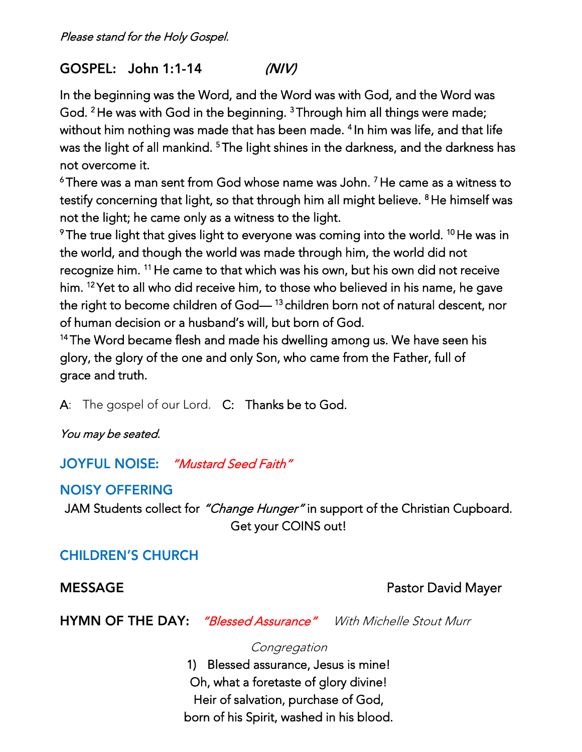GOSPEL: John 1:1-14  $(N/V)$ 

In the beginning was the Word, and the Word was with Word was well-known and the Word was with God, and the Word God.<br>God. - He was with God in the beginning. Through him all things were made,<br>at kim a sthing was mode that has been mode that him was life, and that l with the matrix of all models of STL at light district that has been made. In the matrix of the state of all m<br>In his best has been died in the state of the state of the state of the state of the state of the state of all 4 not overcome it. <sup>5</sup>The light shines in the darkness, and the darkness has

 $6$ There was a man sent from God whose name was John.  $7$  He came as a witness to There was a man sent from God whose name was John. The came as a witness to  $t_{\rm{max}}$ not the light; he came only as a witness to the light. Filmself was

not the light; he came only as a witness to the light. The true light that gives light to everyone was coming into the world. "The was inthe world, and though the world was made through him, the world did not receive<br>recognize him. <sup>11</sup> He came to that which was his own, but his own did not receive recognize him. The came to that which was his own, but his own did not receive<br>him. 12 Yet to all what did noosing him, to these who halis used in his name, he gave him. The to all who did receive him, to those who believed in his name, he gave<br>the sight to because skildson of Carl – <sup>13</sup>skildson have not of natural decentures of human decision or a husband's will, but born of God. <sup>13</sup>children born not of natural descent, nor

<sup>14</sup> The Word became flesh and made his dwelling among us. We have seen his The word became flesh and made his dwelling among us. We have seen his glory, the glory of the one and only Son, who came from the Father, full of grace and truth.

A: The gospel of our Lord. C: Thanks be to God.

You may be seated.

**JOYFUL NOISE:** "Mustard Seed Faith"

## **NOISY OFFERING**

JAM Students collect for *"Change Hunger"* in support of the Christian Cupboard.<br>Get your COINS out! Get your comments

## **CHILDREN'S CHURCH**

**MESSAGE** 

Pastor David Mayer

**HYMN OF THE DAY:** "Blessed Assurance" With Michelle Stout Murr

**Congregation** 

1) Blessed assurance, Jesus is mine!<br>Oh, what a foretaste of glory divine! Heir of salvation, purchase of God, Heir of salvation, purchase of God, born of his Spirit, washed in his blood.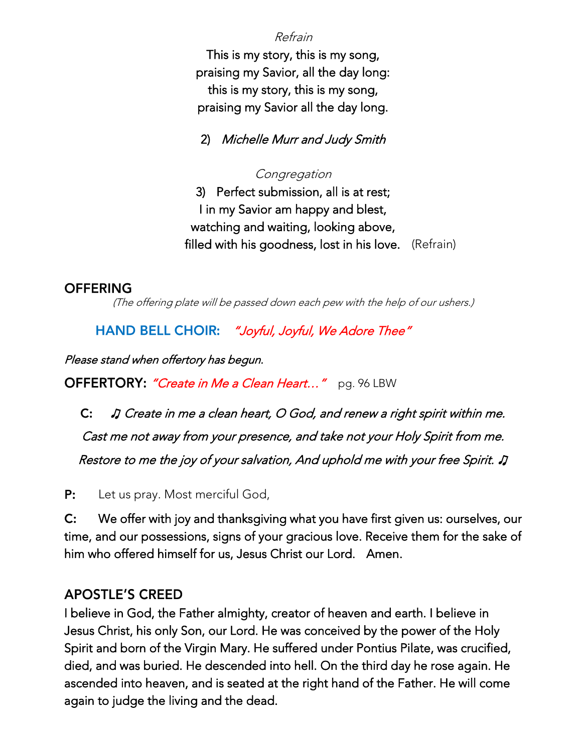Refrain

This is my story, this is my song,<br>praising my Savior, all the day long: this is my story, this is my song, this is my story, this is my song, praising my Savior all the day long.

2) Michelle Murr and Judy Smith

**Congregation** 

3) Perfect submission, all is at rest; watching and waiting, looking above, filled with his goodness, lost in his love. (Refrain)  $f(x) = \sum_{k=1}^{\infty} f(x) f(x)$ 

#### **OFFERING**

(The offering plate will be passed down each pew with the help of our ushers.)

HAND BELL CHOIR: "Joyful, Joyful, We Adore Thee"

Please stand when offertory has begun.

OFFERTORY: "Create in Me a Clean Heart..." pg. 96 LBW

 ♫ Create in me a clean heart, O God, and renew a right spirit within me. Cast me not away from your presence, and take not your Holy Spirit from me. Restore to me the joy of your salvation, And uphold me with your free Spirit.

P: Let us pray. Most merciful God,

C: We offer with joy and thanksgiving what you have first given us: ourselves, our<br>time, and our possessions, signs of your gracious love. Receive them for the sake of  $C:$ him who offered himself for us, Jesus Christ our Lord. Amen. him who offered himself for us, Jesus Christ our Lord. Amen.

### **APOSTLE'S CREED**

I believe in God, the Father almighty, creator of heaven and earth. I believe in<br>Jesus Christ, his only Son, our Lord. He was conceived by the power of the Holy Spirit and born of the Virgin Mary. He suffered under Pontius Pilate, was crucified, died, and was buried. He descended into hell. On the third day he rose again. He ascended into heaven, and is seated at the right hand of the Father. He will come again to judge the living and the dead. again to judge the living and the dead.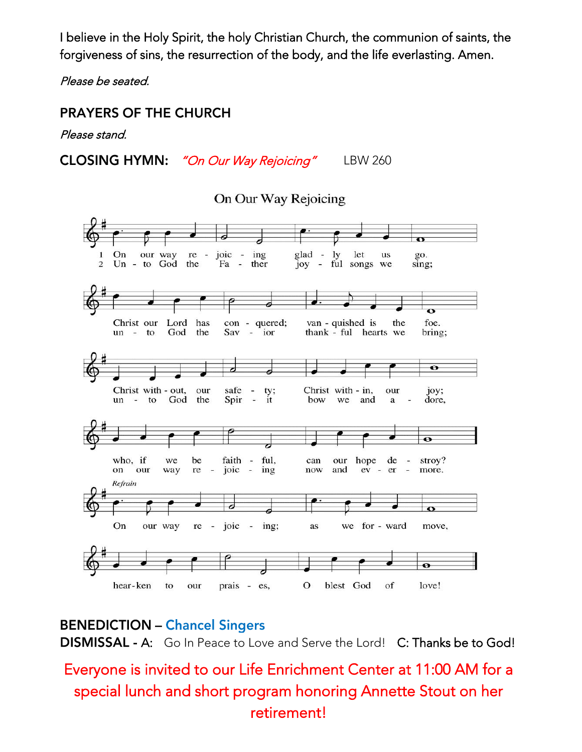I believe in the Holy Spirit, the holy Christian Church, the communion of saints, the forgiveness of sins, the resurrection of the body, and the life everlasting. Amen.

Please be seated.

#### **PRAYERS OF THE CHURCH**

Please stand.

**CLOSING HYMN:** "On Our Way Rejoicing" LBW 260

On Our Way Rejoicing



**BENEDICTION - Chancel Singers** A: Go In Peace to Love and Serve the Lord! C: Thanks be to God!

# Every one is invited to our Life Enrichment Center at 11:000 AM for at 11:00 AM for a special lunch and short program honoring Annette Stout on her retirement!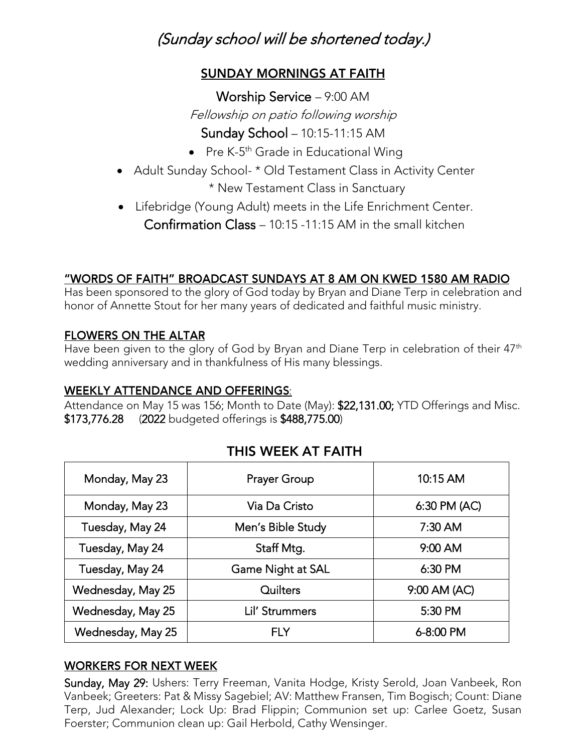## (Sunday school will be shortened today.)

#### **SUNDAY MORNINGS AT FAITH**

Worship Service – 9:00 AM Fellowship on patio following worship

- Sunday Sunday 10:15-11:15 AM<br>Dec K Fh Coole in Education 11:11 • Pre K-5  $\sim$  Grade in Educational Wing<br>L  $\star$  OLLT
- Adult Sunday School- \* Old Testament Class in Activity Center<br>\* New Testament Class in Senatura
- $X = \begin{bmatrix} 1 & 1 & 1 & 1 \\ 1 & 1 & 1 & 1 \end{bmatrix}$ • Lifebridge (Young Adult) meets in the Life Enrichment Center.<br>
Cultimate 2015-1115 AM in the Ultimate of Cultimate of Cultimate of Cultimate of Cultimate of Cultimate of Cu Confirmation Class – 10:15 -11:15 AM in the small kitchen

#### "WORDS OF FAITH" BROADCAST SUNDAYS AT 8 AM ON KWED 1580 AM RADIO

Hand of Annette Stout for her many years of dedicated and faithful music ministry honor of Annette Stout for her many years of dedicated and faithful music ministry.

#### **FLOWERS ON THE ALTAR**

Have been given to the glory of God by Bryan and Diane Terp in celebration of their 47th<br>wedding anniversary and in thankfulness of His many blessings wedding anniversary and in thankfulness of His many blessings.

<u>WEEKLY ATTENDANCE AND OFFERINGS:</u><br>Attendance on May 15 was 156; Month to Date (May): \$22,131.00; YTD Offerings and Misc.  $$173,776.28$  (2022 budgeted offerings is  $$488,775.00$ )  $\frac{1}{2}$ 

#### THIS WEEK AT FAITH

| Monday, May 23    | <b>Prayer Group</b> | 10:15 AM     |
|-------------------|---------------------|--------------|
| Monday, May 23    | Via Da Cristo       | 6:30 PM (AC) |
| Tuesday, May 24   | Men's Bible Study   | $7:30$ AM    |
| Tuesday, May 24   | Staff Mtg.          | 9:00 AM      |
| Tuesday, May 24   | Game Night at SAL   | 6:30 PM      |
| Wednesday, May 25 | Quilters            | 9:00 AM (AC) |
| Wednesday, May 25 | Lil' Strummers      | 5:30 PM      |
| Wednesday, May 25 | <b>FLY</b>          | 6-8:00 PM    |

#### **WORKERS FOR NEXT WEEK**

Sunday, May 29: Ushers: Terry Freeman, Vanita Hodge, Kristy Serold, Joan Vanbeek, Ron<br>Vanbeek; Greeters: Pat & Missy Sagebiel; AV: Matthew Fransen, Tim Bogisch; Count: Diane Terp, Jud Alexander; Lock Up: Brad Flippin; Communion set up: Carlee Goetz, Susan Terp, Judi<br>Foerster: Communion clean up: Gail Herbold, Cathy Wensinger Foerster; Communion clean up: Gail Herbold, Cathy Wensinger.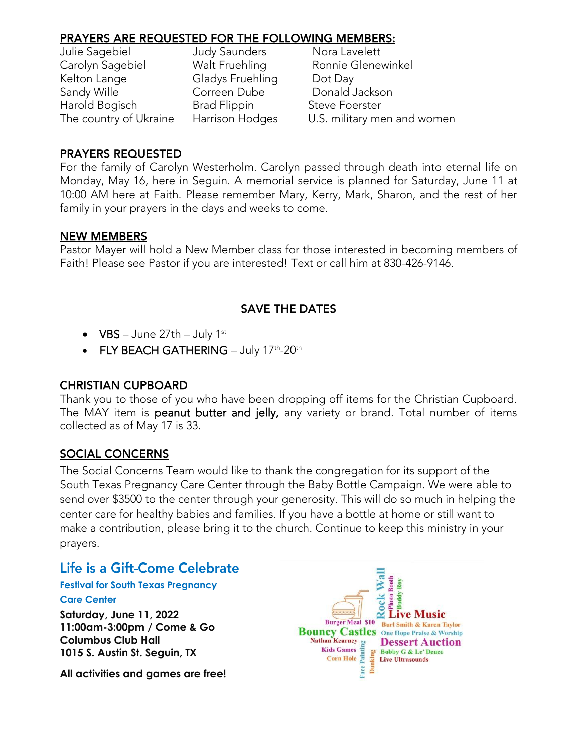| Julie Sagebiel         | <b>Judy Saunders</b> | Nora Lavelett               |
|------------------------|----------------------|-----------------------------|
| Carolyn Sagebiel       | Walt Fruehling       | Ronnie Glenewinkel          |
| Kelton Lange           | Gladys Fruehling     | Dot Day                     |
| Sandy Wille            | Correen Dube         | Donald Jackson              |
| Harold Bogisch         | <b>Brad Flippin</b>  | <b>Steve Foerster</b>       |
| The country of Ukraine | Harrison Hodges      | U.S. military men and women |
|                        |                      |                             |

i<br>L Nora Lavelett Ronnie Glenewinkel Donald Jackson<br>Steve Foerster U.S. military men and women

#### **PRAYERS REQUESTED**

For the family of Carolyn Westerholm. Carolyn passed through death into eternal life on<br>Monday, May 16, here in Seguin. A memorial service is planned for Saturday, June 11 at 10:00 AM here at Faith. Please remember Mary, Kerry, Mark, Sharon, and the rest of her 10:00 AM here at Faith. Please remember Mary, Mary, Mark, Sharon, and the rest of her family in your prayers in the days and weeks to come.

#### **NEW MEMBERS**

Partial Please see Pastor if you are interested Text or call him at 830-426-9146 Faith! Please see Pastor if you are interested! Text or call him at 830-426-9146.

#### **SAVE THE DATES**

- $\bullet$  VBS June 27th July 1st
- FLY BEACH GATHERING July 17<sup>th</sup>-20<sup>th</sup>

#### **CHRISTIAN CUPBOARD**

Thank you to those of you who have been dropping off items for the Christian Cupboard.<br>The MAY item is **peanut butter and jelly**, any variety or brand. Total number of items The MAY item is peanut butter and jelly, any variety or brand. Total number of items.<br>collected as of May 17 is 33. collection as of May 17 is 33.

#### **SOCIAL CONCERNS**

The Social Concerns Team would like to thank the congregation for its support of the<br>South Texas Pregnancy Care Center through the Baby Bottle Campaign. We were able to send over \$3500 to the center through your generosity. This will do so much in helping the center care for healthy babies and families. If you have a bottle at home or still want to make a contribution, please bring it to the church. Continue to keep this ministry in your make a contribution, please bring it to the church. Continue to keep this ministry in your prayers.

### Life is a Gift-Come Celebrate

#### **Festival for South Texas Pregnancy**

#### **Care Center**

**Saturday, June 11, 2022 11:00am-3:00pm / Come & Go Columbus Club Hall 1015 S. Austin St. Seguin, TX**

**All activities and games are free!**

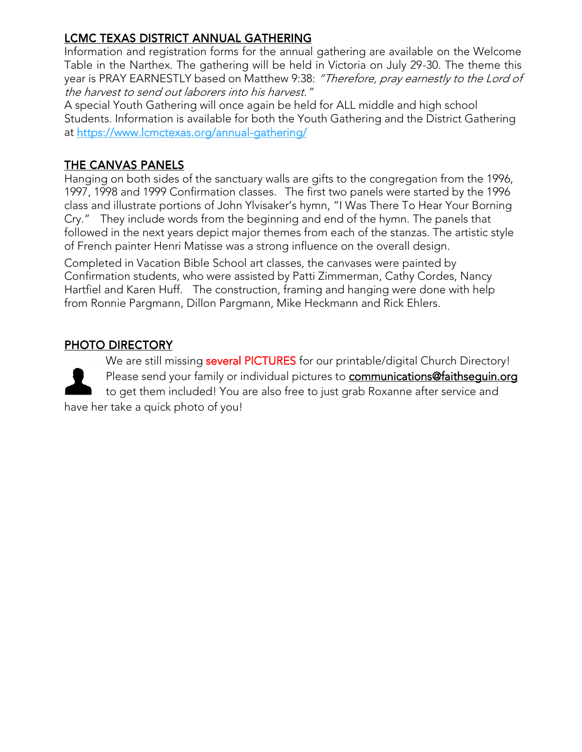#### LCMC TEXAS DISTRICT ANNUAL GATHERING

Information and registration forms for the annual gathering are available on the Welcome<br>Table in the Narthex. The gathering will be held in Victoria on July 29-30. The theme this year is PRAY EARNESTLY based on Matthew 9:38: "Therefore, pray earnestly to the Lord of<br>the harvest to send out laborers into his harvest." the harvest to send out laborers into his harvest."

A special Youth Gathering will once again be held for ALL middle and high school<br>Students. Information is available for both the Youth Gathering and the District Gathering St[udents. Information is available for both the Yo](https://www.lcmctexas.org/annual-gathering/)uth Gathering and the District Gathering at <u>the structure containing annual-gathering.</u>

#### THE CANVAS PANELS

Hanging on both sides of the sanctuary walls are gifts to the congregation from the 1996,<br>1997, 1998 and 1999 Confirmation classes. The first two panels were started by the 1996 class and illustrate portions of John Ylvisaker's hymn, "I Was There To Hear Your Borning Cry." They include words from the beginning and end of the hymn. The panels that followed in the next years depict major themes from each of the stanzas. The artistic style of French painter Henri Matisse was a strong influence on the overall design.

Completed in Vacation Bible School art classes, the canvases were painted by Confirmation students, who were assisted by Patti Zimmerman, Cathy Cordes, Nancy Hartfiel and Karen Huff. The construction, framing and hanging were done with help Hartford and Hartfield and Construction, framing and managing were done maning p<br>from Ronnie Paramann, Dillon Paramann, Mike Heckmann and Rick Ehlers from Ronnie Pargmann, Dillon Pargmann, Mike Heckmann and Rick Ehlers.

#### PHOTO DIRECTORY

We are still missing several PICTURES for our printable/digital Church Directory!<br>Please send your family or individual pictures to communications@faithseguin.org to get them included! You are also free to just grab Roxanne after service and to get them included! You are also free to just grab Roxanne after service and

have her take a quick photo of you!